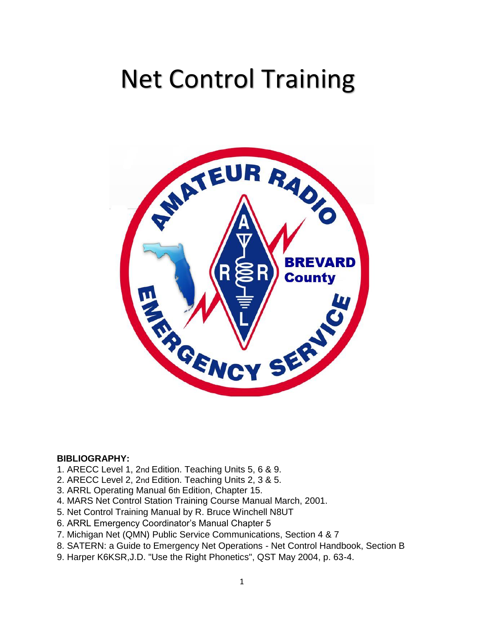# Net Control Training



#### **BIBLIOGRAPHY:**

- 1. ARECC Level 1, 2nd Edition. Teaching Units 5, 6 & 9.
- 2. ARECC Level 2, 2nd Edition. Teaching Units 2, 3 & 5.
- 3. ARRL Operating Manual 6th Edition, Chapter 15.
- 4. MARS Net Control Station Training Course Manual March, 2001.
- 5. Net Control Training Manual by R. Bruce Winchell N8UT
- 6. ARRL Emergency Coordinator's Manual Chapter 5
- 7. Michigan Net (QMN) Public Service Communications, Section 4 & 7
- 8. SATERN: a Guide to Emergency Net Operations Net Control Handbook, Section B
- 9. Harper K6KSR,J.D. "Use the Right Phonetics", QST May 2004, p. 63-4.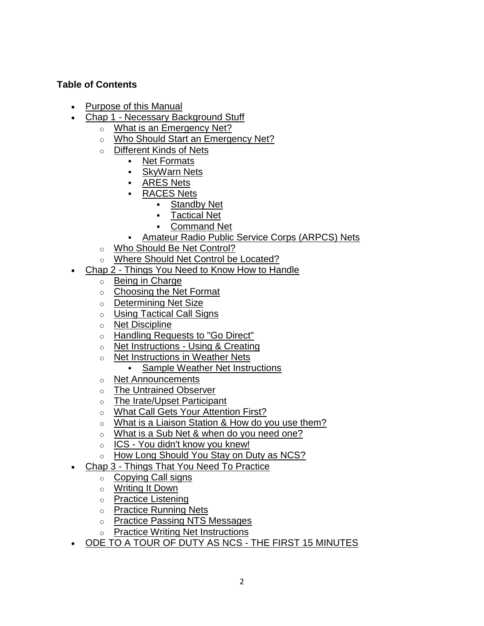## **Table of Contents**

- Purpose of this Manual
- Chap 1 Necessary Background Stuff
	- o What is an Emergency Net?
	- o Who Should Start an Emergency Net?
	- o Different Kinds of Nets
		- Net Formats
		- SkyWarn Nets
		- ARES Nets
		- RACES Nets
			- Standby Net
			- Tactical Net
			- Command Net
		- Amateur Radio Public Service Corps (ARPCS) Nets
	- o Who Should Be Net Control?
	- o Where Should Net Control be Located?
- Chap 2 Things You Need to Know How to Handle
	- o Being in Charge
	- o Choosing the Net Format
	- o Determining Net Size
	- o Using Tactical Call Signs
	- o Net Discipline
	- o Handling Requests to "Go Direct"
	- o [Net Instructions -](http://www.northbrevardarc.net/Net_Control.html#2g) Using & Creating
	- o Net Instructions in Weather Nets
		- Sample Weather Net Instructions
	- o Net Announcements
	- o The Untrained Observer
	- o The Irate/Upset Participant
	- o What Call Gets Your Attention First?
	- o What is a Liaison Station & How do you use them?
	- o What is a Sub Net & when do you need one?
	- o ICS You didn't know you knew!
	- o How Long Should You Stay on Duty as NCS?
	- Chap 3 Things That You Need To Practice
		- o Copying Call signs
		- o Writing It Down
		- o Practice Listening
		- o Practice Running Nets
		- o Practice Passing NTS Messages
		- o Practice Writing Net Instructions
- ODE TO A TOUR OF DUTY AS NCS THE FIRST 15 MINUTES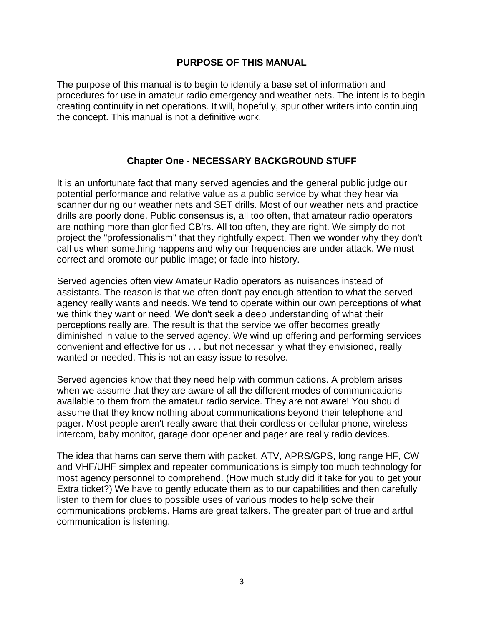#### **PURPOSE OF THIS MANUAL**

The purpose of this manual is to begin to identify a base set of information and procedures for use in amateur radio emergency and weather nets. The intent is to begin creating continuity in net operations. It will, hopefully, spur other writers into continuing the concept. This manual is not a definitive work.

#### **Chapter One - NECESSARY BACKGROUND STUFF**

It is an unfortunate fact that many served agencies and the general public judge our potential performance and relative value as a public service by what they hear via scanner during our weather nets and SET drills. Most of our weather nets and practice drills are poorly done. Public consensus is, all too often, that amateur radio operators are nothing more than glorified CB'rs. All too often, they are right. We simply do not project the "professionalism" that they rightfully expect. Then we wonder why they don't call us when something happens and why our frequencies are under attack. We must correct and promote our public image; or fade into history.

Served agencies often view Amateur Radio operators as nuisances instead of assistants. The reason is that we often don't pay enough attention to what the served agency really wants and needs. We tend to operate within our own perceptions of what we think they want or need. We don't seek a deep understanding of what their perceptions really are. The result is that the service we offer becomes greatly diminished in value to the served agency. We wind up offering and performing services convenient and effective for us . . . but not necessarily what they envisioned, really wanted or needed. This is not an easy issue to resolve.

Served agencies know that they need help with communications. A problem arises when we assume that they are aware of all the different modes of communications available to them from the amateur radio service. They are not aware! You should assume that they know nothing about communications beyond their telephone and pager. Most people aren't really aware that their cordless or cellular phone, wireless intercom, baby monitor, garage door opener and pager are really radio devices.

The idea that hams can serve them with packet, ATV, APRS/GPS, long range HF, CW and VHF/UHF simplex and repeater communications is simply too much technology for most agency personnel to comprehend. (How much study did it take for you to get your Extra ticket?) We have to gently educate them as to our capabilities and then carefully listen to them for clues to possible uses of various modes to help solve their communications problems. Hams are great talkers. The greater part of true and artful communication is listening.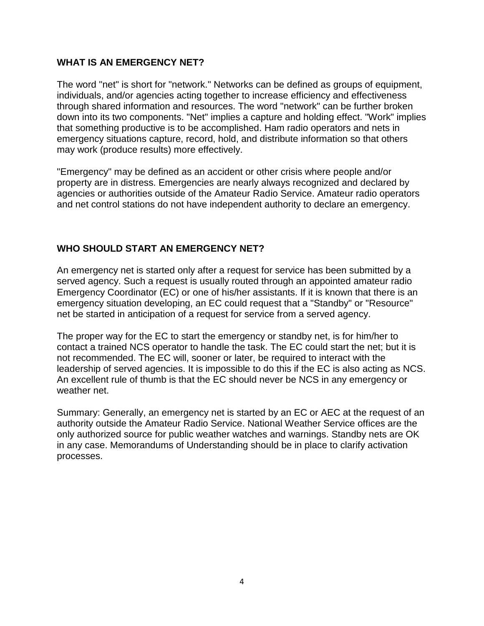#### **WHAT IS AN EMERGENCY NET?**

The word "net" is short for "network." Networks can be defined as groups of equipment, individuals, and/or agencies acting together to increase efficiency and effectiveness through shared information and resources. The word "network" can be further broken down into its two components. "Net" implies a capture and holding effect. "Work" implies that something productive is to be accomplished. Ham radio operators and nets in emergency situations capture, record, hold, and distribute information so that others may work (produce results) more effectively.

"Emergency" may be defined as an accident or other crisis where people and/or property are in distress. Emergencies are nearly always recognized and declared by agencies or authorities outside of the Amateur Radio Service. Amateur radio operators and net control stations do not have independent authority to declare an emergency.

### **WHO SHOULD START AN EMERGENCY NET?**

An emergency net is started only after a request for service has been submitted by a served agency. Such a request is usually routed through an appointed amateur radio Emergency Coordinator (EC) or one of his/her assistants. If it is known that there is an emergency situation developing, an EC could request that a "Standby" or "Resource" net be started in anticipation of a request for service from a served agency.

The proper way for the EC to start the emergency or standby net, is for him/her to contact a trained NCS operator to handle the task. The EC could start the net; but it is not recommended. The EC will, sooner or later, be required to interact with the leadership of served agencies. It is impossible to do this if the EC is also acting as NCS. An excellent rule of thumb is that the EC should never be NCS in any emergency or weather net.

Summary: Generally, an emergency net is started by an EC or AEC at the request of an authority outside the Amateur Radio Service. National Weather Service offices are the only authorized source for public weather watches and warnings. Standby nets are OK in any case. Memorandums of Understanding should be in place to clarify activation processes.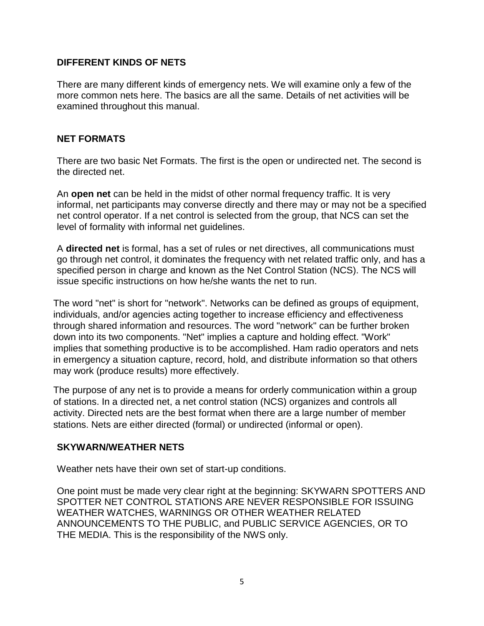#### **DIFFERENT KINDS OF NETS**

There are many different kinds of emergency nets. We will examine only a few of the more common nets here. The basics are all the same. Details of net activities will be examined throughout this manual.

### **NET FORMATS**

There are two basic Net Formats. The first is the open or undirected net. The second is the directed net.

An **open net** can be held in the midst of other normal frequency traffic. It is very informal, net participants may converse directly and there may or may not be a specified net control operator. If a net control is selected from the group, that NCS can set the level of formality with informal net guidelines.

A **directed net** is formal, has a set of rules or net directives, all communications must go through net control, it dominates the frequency with net related traffic only, and has a specified person in charge and known as the Net Control Station (NCS). The NCS will issue specific instructions on how he/she wants the net to run.

The word "net" is short for "network". Networks can be defined as groups of equipment, individuals, and/or agencies acting together to increase efficiency and effectiveness through shared information and resources. The word "network" can be further broken down into its two components. "Net" implies a capture and holding effect. "Work" implies that something productive is to be accomplished. Ham radio operators and nets in emergency a situation capture, record, hold, and distribute information so that others may work (produce results) more effectively.

The purpose of any net is to provide a means for orderly communication within a group of stations. In a directed net, a net control station (NCS) organizes and controls all activity. Directed nets are the best format when there are a large number of member stations. Nets are either directed (formal) or undirected (informal or open).

## **SKYWARN/WEATHER NETS**

Weather nets have their own set of start-up conditions.

One point must be made very clear right at the beginning: SKYWARN SPOTTERS AND SPOTTER NET CONTROL STATIONS ARE NEVER RESPONSIBLE FOR ISSUING WEATHER WATCHES, WARNINGS OR OTHER WEATHER RELATED ANNOUNCEMENTS TO THE PUBLIC, and PUBLIC SERVICE AGENCIES, OR TO THE MEDIA. This is the responsibility of the NWS only.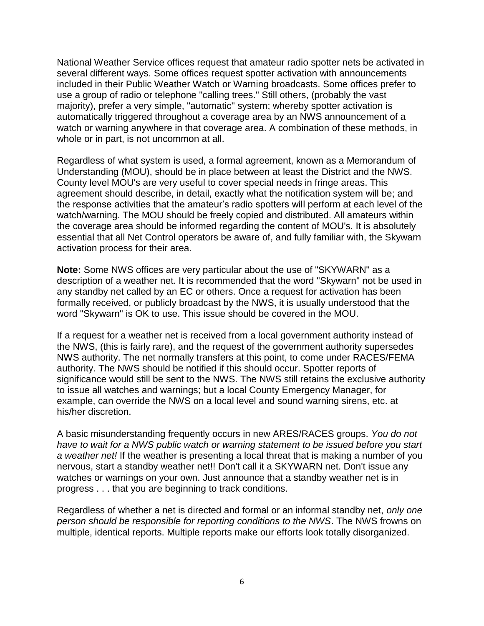National Weather Service offices request that amateur radio spotter nets be activated in several different ways. Some offices request spotter activation with announcements included in their Public Weather Watch or Warning broadcasts. Some offices prefer to use a group of radio or telephone "calling trees." Still others, (probably the vast majority), prefer a very simple, "automatic" system; whereby spotter activation is automatically triggered throughout a coverage area by an NWS announcement of a watch or warning anywhere in that coverage area. A combination of these methods, in whole or in part, is not uncommon at all.

Regardless of what system is used, a formal agreement, known as a Memorandum of Understanding (MOU), should be in place between at least the District and the NWS. County level MOU's are very useful to cover special needs in fringe areas. This agreement should describe, in detail, exactly what the notification system will be; and the response activities that the amateur's radio spotters will perform at each level of the watch/warning. The MOU should be freely copied and distributed. All amateurs within the coverage area should be informed regarding the content of MOU's. It is absolutely essential that all Net Control operators be aware of, and fully familiar with, the Skywarn activation process for their area.

**Note:** Some NWS offices are very particular about the use of "SKYWARN" as a description of a weather net. It is recommended that the word "Skywarn" not be used in any standby net called by an EC or others. Once a request for activation has been formally received, or publicly broadcast by the NWS, it is usually understood that the word "Skywarn" is OK to use. This issue should be covered in the MOU.

If a request for a weather net is received from a local government authority instead of the NWS, (this is fairly rare), and the request of the government authority supersedes NWS authority. The net normally transfers at this point, to come under RACES/FEMA authority. The NWS should be notified if this should occur. Spotter reports of significance would still be sent to the NWS. The NWS still retains the exclusive authority to issue all watches and warnings; but a local County Emergency Manager, for example, can override the NWS on a local level and sound warning sirens, etc. at his/her discretion.

A basic misunderstanding frequently occurs in new ARES/RACES groups. *You do not have to wait for a NWS public watch or warning statement to be issued before you start a weather net!* If the weather is presenting a local threat that is making a number of you nervous, start a standby weather net!! Don't call it a SKYWARN net. Don't issue any watches or warnings on your own. Just announce that a standby weather net is in progress . . . that you are beginning to track conditions.

Regardless of whether a net is directed and formal or an informal standby net, *only one person should be responsible for reporting conditions to the NWS*. The NWS frowns on multiple, identical reports. Multiple reports make our efforts look totally disorganized.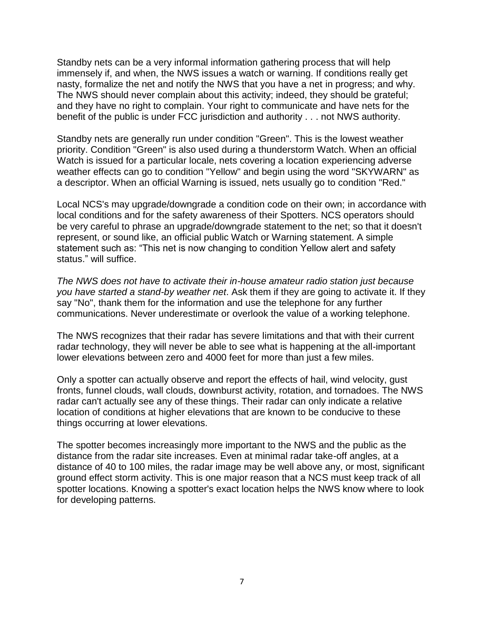Standby nets can be a very informal information gathering process that will help immensely if, and when, the NWS issues a watch or warning. If conditions really get nasty, formalize the net and notify the NWS that you have a net in progress; and why. The NWS should never complain about this activity; indeed, they should be grateful; and they have no right to complain. Your right to communicate and have nets for the benefit of the public is under FCC jurisdiction and authority . . . not NWS authority.

Standby nets are generally run under condition "Green". This is the lowest weather priority. Condition "Green" is also used during a thunderstorm Watch. When an official Watch is issued for a particular locale, nets covering a location experiencing adverse weather effects can go to condition "Yellow" and begin using the word "SKYWARN" as a descriptor. When an official Warning is issued, nets usually go to condition "Red."

Local NCS's may upgrade/downgrade a condition code on their own; in accordance with local conditions and for the safety awareness of their Spotters. NCS operators should be very careful to phrase an upgrade/downgrade statement to the net; so that it doesn't represent, or sound like, an official public Watch or Warning statement. A simple statement such as: "This net is now changing to condition Yellow alert and safety status." will suffice.

*The NWS does not have to activate their in-house amateur radio station just because you have started a stand-by weather net*. Ask them if they are going to activate it. If they say "No", thank them for the information and use the telephone for any further communications. Never underestimate or overlook the value of a working telephone.

The NWS recognizes that their radar has severe limitations and that with their current radar technology, they will never be able to see what is happening at the all-important lower elevations between zero and 4000 feet for more than just a few miles.

Only a spotter can actually observe and report the effects of hail, wind velocity, gust fronts, funnel clouds, wall clouds, downburst activity, rotation, and tornadoes. The NWS radar can't actually see any of these things. Their radar can only indicate a relative location of conditions at higher elevations that are known to be conducive to these things occurring at lower elevations.

The spotter becomes increasingly more important to the NWS and the public as the distance from the radar site increases. Even at minimal radar take-off angles, at a distance of 40 to 100 miles, the radar image may be well above any, or most, significant ground effect storm activity. This is one major reason that a NCS must keep track of all spotter locations. Knowing a spotter's exact location helps the NWS know where to look for developing patterns.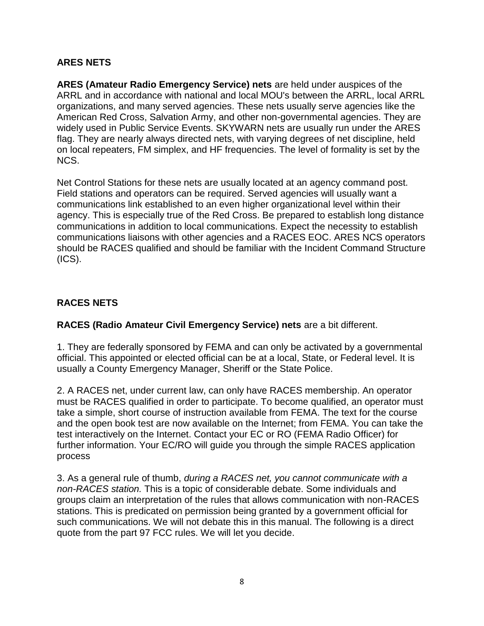## **ARES NETS**

**ARES (Amateur Radio Emergency Service) nets** are held under auspices of the ARRL and in accordance with national and local MOU's between the ARRL, local ARRL organizations, and many served agencies. These nets usually serve agencies like the American Red Cross, Salvation Army, and other non-governmental agencies. They are widely used in Public Service Events. SKYWARN nets are usually run under the ARES flag. They are nearly always directed nets, with varying degrees of net discipline, held on local repeaters, FM simplex, and HF frequencies. The level of formality is set by the NCS.

Net Control Stations for these nets are usually located at an agency command post. Field stations and operators can be required. Served agencies will usually want a communications link established to an even higher organizational level within their agency. This is especially true of the Red Cross. Be prepared to establish long distance communications in addition to local communications. Expect the necessity to establish communications liaisons with other agencies and a RACES EOC. ARES NCS operators should be RACES qualified and should be familiar with the Incident Command Structure (ICS).

# **RACES NETS**

**RACES (Radio Amateur Civil Emergency Service) nets** are a bit different.

1. They are federally sponsored by FEMA and can only be activated by a governmental official. This appointed or elected official can be at a local, State, or Federal level. It is usually a County Emergency Manager, Sheriff or the State Police.

2. A RACES net, under current law, can only have RACES membership. An operator must be RACES qualified in order to participate. To become qualified, an operator must take a simple, short course of instruction available from FEMA. The text for the course and the open book test are now available on the Internet; from FEMA. You can take the test interactively on the Internet. Contact your EC or RO (FEMA Radio Officer) for further information. Your EC/RO will guide you through the simple RACES application process

3. As a general rule of thumb, *during a RACES net, you cannot communicate with a non-RACES station.* This is a topic of considerable debate. Some individuals and groups claim an interpretation of the rules that allows communication with non-RACES stations. This is predicated on permission being granted by a government official for such communications. We will not debate this in this manual. The following is a direct quote from the part 97 FCC rules. We will let you decide.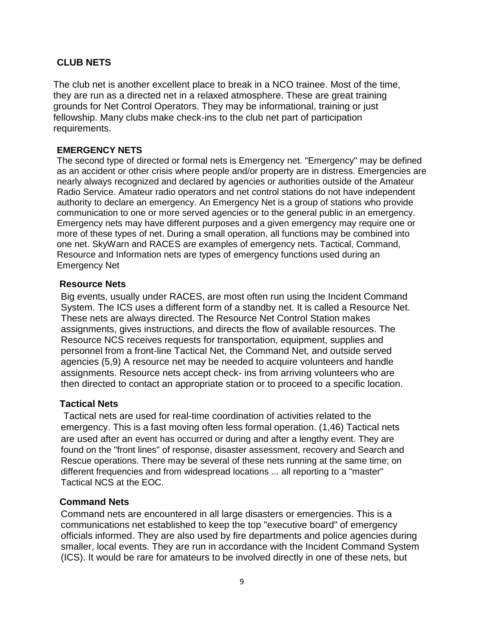## **CLUB NETS**

The club net is another excellent place to break in a NCO trainee. Most of the time, they are run as a directed net in a relaxed atmosphere. These are great training grounds for Net Control Operators. They may be informational, training or just fellowship. Many clubs make check-ins to the club net part of participation requirements.

#### **EMERGENCY NETS**

The second type of directed or formal nets is Emergency net. "Emergency" may be defined as an accident or other crisis where people and/or property are in distress. Emergencies are nearly always recognized and declared by agencies or authorities outside of the Amateur Radio Service. Amateur radio operators and net control stations do not have independent authority to declare an emergency. An Emergency Net is a group of stations who provide communication to one or more served agencies or to the general public in an emergency. Emergency nets may have different purposes and a given emergency may require one or more of these types of net. During a small operation, all functions may be combined into one net. SkyWarn and RACES are examples of emergency nets. Tactical, Command, Resource and Information nets are types of emergency functions used during an Emergency Net

#### **Resource Nets**

Big events, usually under RACES, are most often run using the Incident Command System. The ICS uses a different form of a standby net. It is called a Resource Net. These nets are always directed. The Resource Net Control Station makes assignments, gives instructions, and directs the flow of available resources. The Resource NCS receives requests for transportation, equipment, supplies and personnel from a front-line Tactical Net, the Command Net, and outside served agencies (5,9) A resource net may be needed to acquire volunteers and handle assignments. Resource nets accept check- ins from arriving volunteers who are then directed to contact an appropriate station or to proceed to a specific location.

#### **Tactical Nets**

Tactical nets are used for real-time coordination of activities related to the emergency. This is a fast moving often less formal operation. (1,46) Tactical nets are used after an event has occurred or during and after a lengthy event. They are found on the "front lines" of response, disaster assessment, recovery and Search and Rescue operations. There may be several of these nets running at the same time; on different frequencies and from widespread locations ... all reporting to a "master" Tactical NCS at the EOC.

#### **Command Nets**

Command nets are encountered in all large disasters or emergencies. This is a communications net established to keep the top "executive board" of emergency officials informed. They are also used by fire departments and police agencies during smaller, local events. They are run in accordance with the Incident Command System (ICS). It would be rare for amateurs to be involved directly in one of these nets, but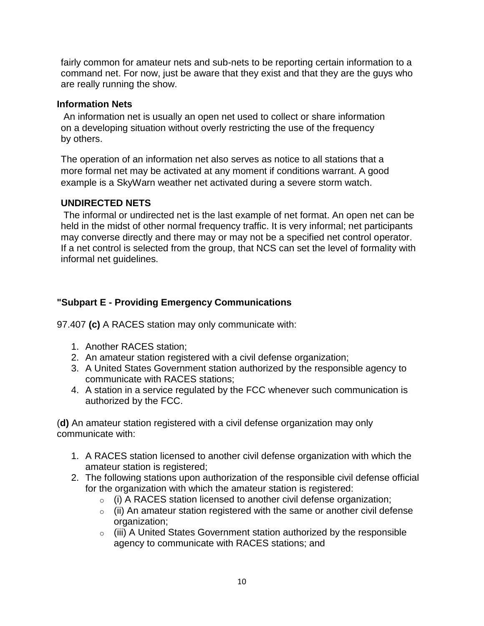fairly common for amateur nets and sub-nets to be reporting certain information to a command net. For now, just be aware that they exist and that they are the guys who are really running the show.

#### **Information Nets**

An information net is usually an open net used to collect or share information on a developing situation without overly restricting the use of the frequency by others.

The operation of an information net also serves as notice to all stations that a more formal net may be activated at any moment if conditions warrant. A good example is a SkyWarn weather net activated during a severe storm watch.

#### **UNDIRECTED NETS**

The informal or undirected net is the last example of net format. An open net can be held in the midst of other normal frequency traffic. It is very informal; net participants may converse directly and there may or may not be a specified net control operator. If a net control is selected from the group, that NCS can set the level of formality with informal net guidelines.

### **"Subpart E - Providing Emergency Communications**

97.407 **(c)** A RACES station may only communicate with:

- 1. Another RACES station;
- 2. An amateur station registered with a civil defense organization;
- 3. A United States Government station authorized by the responsible agency to communicate with RACES stations;
- 4. A station in a service regulated by the FCC whenever such communication is authorized by the FCC.

(**d)** An amateur station registered with a civil defense organization may only communicate with:

- 1. A RACES station licensed to another civil defense organization with which the amateur station is registered;
- 2. The following stations upon authorization of the responsible civil defense official for the organization with which the amateur station is registered:
	- $\circ$  (i) A RACES station licensed to another civil defense organization;
	- $\circ$  (ii) An amateur station registered with the same or another civil defense organization;
	- o (iii) A United States Government station authorized by the responsible agency to communicate with RACES stations; and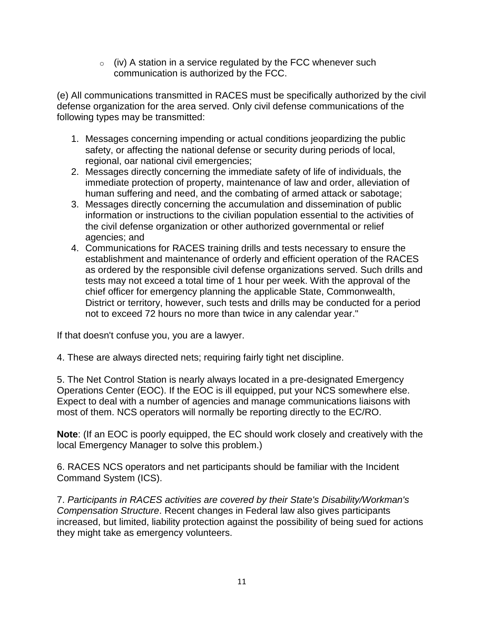$\circ$  (iv) A station in a service regulated by the FCC whenever such communication is authorized by the FCC.

(e) All communications transmitted in RACES must be specifically authorized by the civil defense organization for the area served. Only civil defense communications of the following types may be transmitted:

- 1. Messages concerning impending or actual conditions jeopardizing the public safety, or affecting the national defense or security during periods of local, regional, oar national civil emergencies;
- 2. Messages directly concerning the immediate safety of life of individuals, the immediate protection of property, maintenance of law and order, alleviation of human suffering and need, and the combating of armed attack or sabotage;
- 3. Messages directly concerning the accumulation and dissemination of public information or instructions to the civilian population essential to the activities of the civil defense organization or other authorized governmental or relief agencies; and
- 4. Communications for RACES training drills and tests necessary to ensure the establishment and maintenance of orderly and efficient operation of the RACES as ordered by the responsible civil defense organizations served. Such drills and tests may not exceed a total time of 1 hour per week. With the approval of the chief officer for emergency planning the applicable State, Commonwealth, District or territory, however, such tests and drills may be conducted for a period not to exceed 72 hours no more than twice in any calendar year."

If that doesn't confuse you, you are a lawyer.

4. These are always directed nets; requiring fairly tight net discipline.

5. The Net Control Station is nearly always located in a pre-designated Emergency Operations Center (EOC). If the EOC is ill equipped, put your NCS somewhere else. Expect to deal with a number of agencies and manage communications liaisons with most of them. NCS operators will normally be reporting directly to the EC/RO.

**Note**: (If an EOC is poorly equipped, the EC should work closely and creatively with the local Emergency Manager to solve this problem.)

6. RACES NCS operators and net participants should be familiar with the Incident Command System (ICS).

7. *Participants in RACES activities are covered by their State's Disability/Workman's Compensation Structure*. Recent changes in Federal law also gives participants increased, but limited, liability protection against the possibility of being sued for actions they might take as emergency volunteers.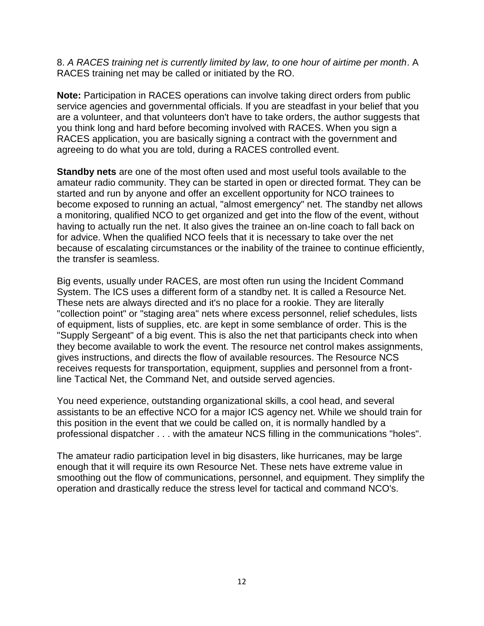8. *A RACES training net is currently limited by law, to one hour of airtime per month*. A RACES training net may be called or initiated by the RO.

**Note:** Participation in RACES operations can involve taking direct orders from public service agencies and governmental officials. If you are steadfast in your belief that you are a volunteer, and that volunteers don't have to take orders, the author suggests that you think long and hard before becoming involved with RACES. When you sign a RACES application, you are basically signing a contract with the government and agreeing to do what you are told, during a RACES controlled event.

**Standby nets** are one of the most often used and most useful tools available to the amateur radio community. They can be started in open or directed format. They can be started and run by anyone and offer an excellent opportunity for NCO trainees to become exposed to running an actual, "almost emergency" net. The standby net allows a monitoring, qualified NCO to get organized and get into the flow of the event, without having to actually run the net. It also gives the trainee an on-line coach to fall back on for advice. When the qualified NCO feels that it is necessary to take over the net because of escalating circumstances or the inability of the trainee to continue efficiently, the transfer is seamless.

Big events, usually under RACES, are most often run using the Incident Command System. The ICS uses a different form of a standby net. It is called a Resource Net. These nets are always directed and it's no place for a rookie. They are literally "collection point" or "staging area" nets where excess personnel, relief schedules, lists of equipment, lists of supplies, etc. are kept in some semblance of order. This is the "Supply Sergeant" of a big event. This is also the net that participants check into when they become available to work the event. The resource net control makes assignments, gives instructions, and directs the flow of available resources. The Resource NCS receives requests for transportation, equipment, supplies and personnel from a frontline Tactical Net, the Command Net, and outside served agencies.

You need experience, outstanding organizational skills, a cool head, and several assistants to be an effective NCO for a major ICS agency net. While we should train for this position in the event that we could be called on, it is normally handled by a professional dispatcher . . . with the amateur NCS filling in the communications "holes".

The amateur radio participation level in big disasters, like hurricanes, may be large enough that it will require its own Resource Net. These nets have extreme value in smoothing out the flow of communications, personnel, and equipment. They simplify the operation and drastically reduce the stress level for tactical and command NCO's.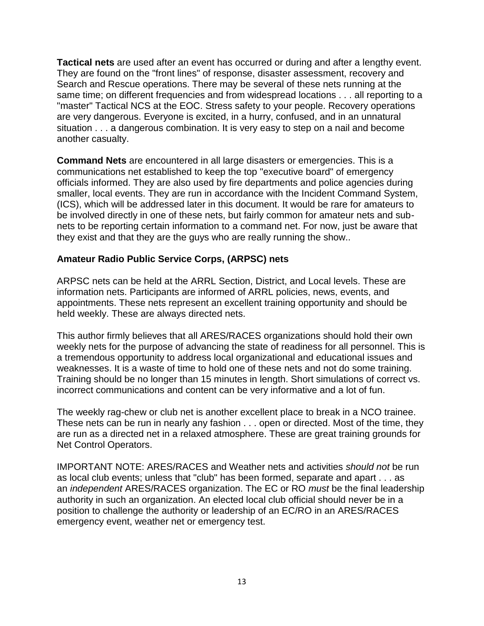**Tactical nets** are used after an event has occurred or during and after a lengthy event. They are found on the "front lines" of response, disaster assessment, recovery and Search and Rescue operations. There may be several of these nets running at the same time; on different frequencies and from widespread locations . . . all reporting to a "master" Tactical NCS at the EOC. Stress safety to your people. Recovery operations are very dangerous. Everyone is excited, in a hurry, confused, and in an unnatural situation . . . a dangerous combination. It is very easy to step on a nail and become another casualty.

**Command Nets** are encountered in all large disasters or emergencies. This is a communications net established to keep the top "executive board" of emergency officials informed. They are also used by fire departments and police agencies during smaller, local events. They are run in accordance with the Incident Command System, (ICS), which will be addressed later in this document. It would be rare for amateurs to be involved directly in one of these nets, but fairly common for amateur nets and subnets to be reporting certain information to a command net. For now, just be aware that they exist and that they are the guys who are really running the show..

### **Amateur Radio Public Service Corps, (ARPSC) nets**

ARPSC nets can be held at the ARRL Section, District, and Local levels. These are information nets. Participants are informed of ARRL policies, news, events, and appointments. These nets represent an excellent training opportunity and should be held weekly. These are always directed nets.

This author firmly believes that all ARES/RACES organizations should hold their own weekly nets for the purpose of advancing the state of readiness for all personnel. This is a tremendous opportunity to address local organizational and educational issues and weaknesses. It is a waste of time to hold one of these nets and not do some training. Training should be no longer than 15 minutes in length. Short simulations of correct vs. incorrect communications and content can be very informative and a lot of fun.

The weekly rag-chew or club net is another excellent place to break in a NCO trainee. These nets can be run in nearly any fashion . . . open or directed. Most of the time, they are run as a directed net in a relaxed atmosphere. These are great training grounds for Net Control Operators.

IMPORTANT NOTE: ARES/RACES and Weather nets and activities *should not* be run as local club events; unless that "club" has been formed, separate and apart . . . as an *independent* ARES/RACES organization. The EC or RO *must* be the final leadership authority in such an organization. An elected local club official should never be in a position to challenge the authority or leadership of an EC/RO in an ARES/RACES emergency event, weather net or emergency test.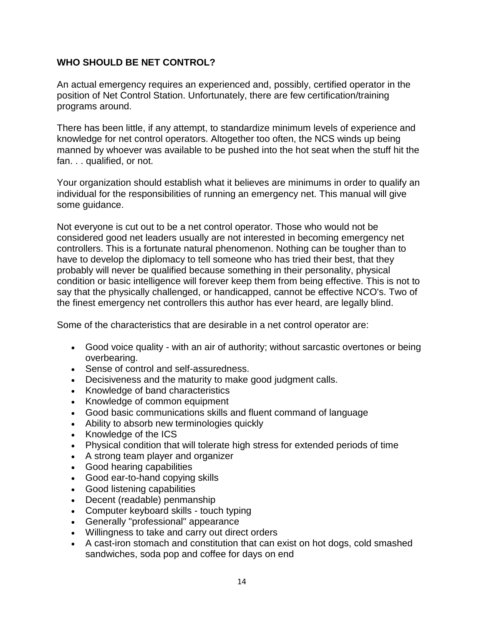### **WHO SHOULD BE NET CONTROL?**

An actual emergency requires an experienced and, possibly, certified operator in the position of Net Control Station. Unfortunately, there are few certification/training programs around.

There has been little, if any attempt, to standardize minimum levels of experience and knowledge for net control operators. Altogether too often, the NCS winds up being manned by whoever was available to be pushed into the hot seat when the stuff hit the fan. . . qualified, or not.

Your organization should establish what it believes are minimums in order to qualify an individual for the responsibilities of running an emergency net. This manual will give some guidance.

Not everyone is cut out to be a net control operator. Those who would not be considered good net leaders usually are not interested in becoming emergency net controllers. This is a fortunate natural phenomenon. Nothing can be tougher than to have to develop the diplomacy to tell someone who has tried their best, that they probably will never be qualified because something in their personality, physical condition or basic intelligence will forever keep them from being effective. This is not to say that the physically challenged, or handicapped, cannot be effective NCO's. Two of the finest emergency net controllers this author has ever heard, are legally blind.

Some of the characteristics that are desirable in a net control operator are:

- Good voice quality with an air of authority; without sarcastic overtones or being overbearing.
- Sense of control and self-assuredness.
- Decisiveness and the maturity to make good judgment calls.
- Knowledge of band characteristics
- Knowledge of common equipment
- Good basic communications skills and fluent command of language
- Ability to absorb new terminologies quickly
- Knowledge of the ICS
- Physical condition that will tolerate high stress for extended periods of time
- A strong team player and organizer
- Good hearing capabilities
- Good ear-to-hand copying skills
- Good listening capabilities
- Decent (readable) penmanship
- Computer keyboard skills touch typing
- Generally "professional" appearance
- Willingness to take and carry out direct orders
- A cast-iron stomach and constitution that can exist on hot dogs, cold smashed sandwiches, soda pop and coffee for days on end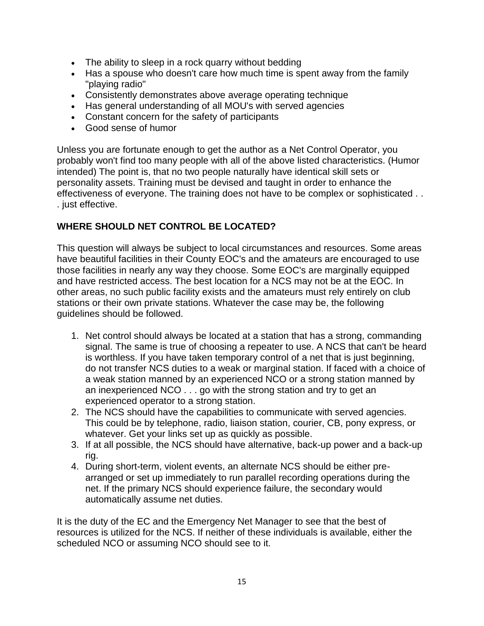- The ability to sleep in a rock quarry without bedding
- Has a spouse who doesn't care how much time is spent away from the family "playing radio"
- Consistently demonstrates above average operating technique
- Has general understanding of all MOU's with served agencies
- Constant concern for the safety of participants
- Good sense of humor

Unless you are fortunate enough to get the author as a Net Control Operator, you probably won't find too many people with all of the above listed characteristics. (Humor intended) The point is, that no two people naturally have identical skill sets or personality assets. Training must be devised and taught in order to enhance the effectiveness of everyone. The training does not have to be complex or sophisticated . . . just effective.

## **WHERE SHOULD NET CONTROL BE LOCATED?**

This question will always be subject to local circumstances and resources. Some areas have beautiful facilities in their County EOC's and the amateurs are encouraged to use those facilities in nearly any way they choose. Some EOC's are marginally equipped and have restricted access. The best location for a NCS may not be at the EOC. In other areas, no such public facility exists and the amateurs must rely entirely on club stations or their own private stations. Whatever the case may be, the following guidelines should be followed.

- 1. Net control should always be located at a station that has a strong, commanding signal. The same is true of choosing a repeater to use. A NCS that can't be heard is worthless. If you have taken temporary control of a net that is just beginning, do not transfer NCS duties to a weak or marginal station. If faced with a choice of a weak station manned by an experienced NCO or a strong station manned by an inexperienced NCO . . . go with the strong station and try to get an experienced operator to a strong station.
- 2. The NCS should have the capabilities to communicate with served agencies. This could be by telephone, radio, liaison station, courier, CB, pony express, or whatever. Get your links set up as quickly as possible.
- 3. If at all possible, the NCS should have alternative, back-up power and a back-up rig.
- 4. During short-term, violent events, an alternate NCS should be either prearranged or set up immediately to run parallel recording operations during the net. If the primary NCS should experience failure, the secondary would automatically assume net duties.

It is the duty of the EC and the Emergency Net Manager to see that the best of resources is utilized for the NCS. If neither of these individuals is available, either the scheduled NCO or assuming NCO should see to it.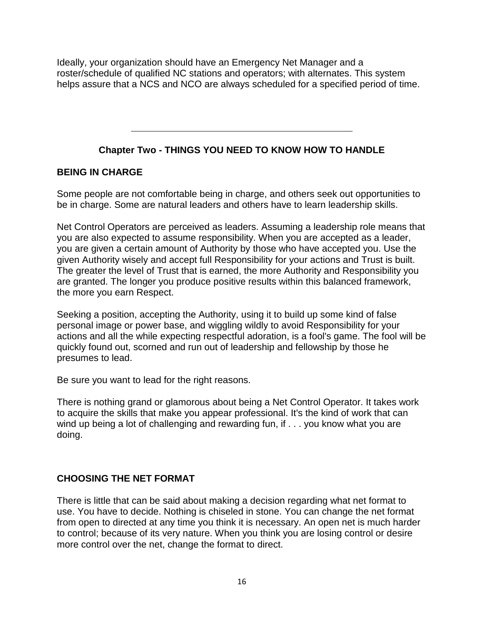Ideally, your organization should have an Emergency Net Manager and a roster/schedule of qualified NC stations and operators; with alternates. This system helps assure that a NCS and NCO are always scheduled for a specified period of time.

# **Chapter Two - THINGS YOU NEED TO KNOW HOW TO HANDLE**

## **BEING IN CHARGE**

Some people are not comfortable being in charge, and others seek out opportunities to be in charge. Some are natural leaders and others have to learn leadership skills.

Net Control Operators are perceived as leaders. Assuming a leadership role means that you are also expected to assume responsibility. When you are accepted as a leader, you are given a certain amount of Authority by those who have accepted you. Use the given Authority wisely and accept full Responsibility for your actions and Trust is built. The greater the level of Trust that is earned, the more Authority and Responsibility you are granted. The longer you produce positive results within this balanced framework, the more you earn Respect.

Seeking a position, accepting the Authority, using it to build up some kind of false personal image or power base, and wiggling wildly to avoid Responsibility for your actions and all the while expecting respectful adoration, is a fool's game. The fool will be quickly found out, scorned and run out of leadership and fellowship by those he presumes to lead.

Be sure you want to lead for the right reasons.

There is nothing grand or glamorous about being a Net Control Operator. It takes work to acquire the skills that make you appear professional. It's the kind of work that can wind up being a lot of challenging and rewarding fun, if . . . you know what you are doing.

## **CHOOSING THE NET FORMAT**

There is little that can be said about making a decision regarding what net format to use. You have to decide. Nothing is chiseled in stone. You can change the net format from open to directed at any time you think it is necessary. An open net is much harder to control; because of its very nature. When you think you are losing control or desire more control over the net, change the format to direct.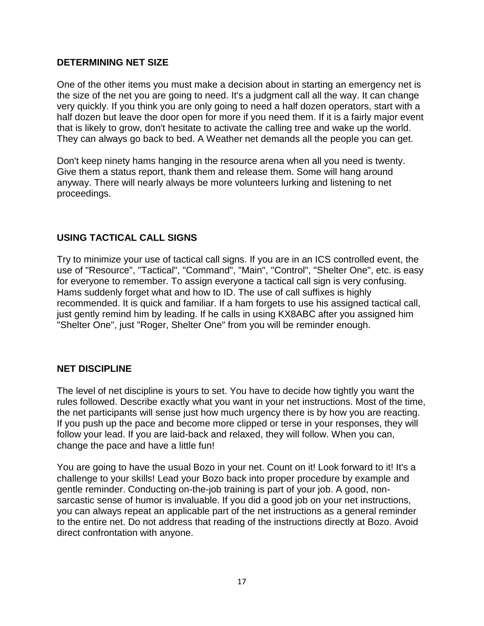#### **DETERMINING NET SIZE**

One of the other items you must make a decision about in starting an emergency net is the size of the net you are going to need. It's a judgment call all the way. It can change very quickly. If you think you are only going to need a half dozen operators, start with a half dozen but leave the door open for more if you need them. If it is a fairly major event that is likely to grow, don't hesitate to activate the calling tree and wake up the world. They can always go back to bed. A Weather net demands all the people you can get.

Don't keep ninety hams hanging in the resource arena when all you need is twenty. Give them a status report, thank them and release them. Some will hang around anyway. There will nearly always be more volunteers lurking and listening to net proceedings.

### **USING TACTICAL CALL SIGNS**

Try to minimize your use of tactical call signs. If you are in an ICS controlled event, the use of "Resource", "Tactical", "Command", "Main", "Control", "Shelter One", etc. is easy for everyone to remember. To assign everyone a tactical call sign is very confusing. Hams suddenly forget what and how to ID. The use of call suffixes is highly recommended. It is quick and familiar. If a ham forgets to use his assigned tactical call, just gently remind him by leading. If he calls in using KX8ABC after you assigned him "Shelter One", just "Roger, Shelter One" from you will be reminder enough.

## **NET DISCIPLINE**

The level of net discipline is yours to set. You have to decide how tightly you want the rules followed. Describe exactly what you want in your net instructions. Most of the time, the net participants will sense just how much urgency there is by how you are reacting. If you push up the pace and become more clipped or terse in your responses, they will follow your lead. If you are laid-back and relaxed, they will follow. When you can, change the pace and have a little fun!

You are going to have the usual Bozo in your net. Count on it! Look forward to it! It's a challenge to your skills! Lead your Bozo back into proper procedure by example and gentle reminder. Conducting on-the-job training is part of your job. A good, nonsarcastic sense of humor is invaluable. If you did a good job on your net instructions, you can always repeat an applicable part of the net instructions as a general reminder to the entire net. Do not address that reading of the instructions directly at Bozo. Avoid direct confrontation with anyone.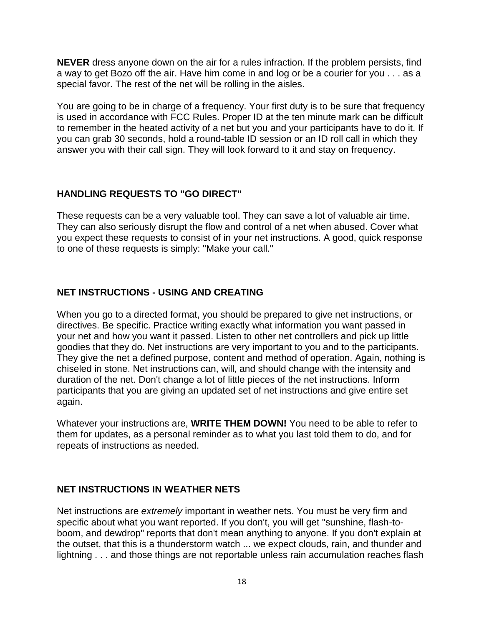**NEVER** dress anyone down on the air for a rules infraction. If the problem persists, find a way to get Bozo off the air. Have him come in and log or be a courier for you . . . as a special favor. The rest of the net will be rolling in the aisles.

You are going to be in charge of a frequency. Your first duty is to be sure that frequency is used in accordance with FCC Rules. Proper ID at the ten minute mark can be difficult to remember in the heated activity of a net but you and your participants have to do it. If you can grab 30 seconds, hold a round-table ID session or an ID roll call in which they answer you with their call sign. They will look forward to it and stay on frequency.

## **HANDLING REQUESTS TO "GO DIRECT"**

These requests can be a very valuable tool. They can save a lot of valuable air time. They can also seriously disrupt the flow and control of a net when abused. Cover what you expect these requests to consist of in your net instructions. A good, quick response to one of these requests is simply: "Make your call."

## **NET INSTRUCTIONS - USING AND CREATING**

When you go to a directed format, you should be prepared to give net instructions, or directives. Be specific. Practice writing exactly what information you want passed in your net and how you want it passed. Listen to other net controllers and pick up little goodies that they do. Net instructions are very important to you and to the participants. They give the net a defined purpose, content and method of operation. Again, nothing is chiseled in stone. Net instructions can, will, and should change with the intensity and duration of the net. Don't change a lot of little pieces of the net instructions. Inform participants that you are giving an updated set of net instructions and give entire set again.

Whatever your instructions are, **WRITE THEM DOWN!** You need to be able to refer to them for updates, as a personal reminder as to what you last told them to do, and for repeats of instructions as needed.

## **NET INSTRUCTIONS IN WEATHER NETS**

Net instructions are *extremely* important in weather nets. You must be very firm and specific about what you want reported. If you don't, you will get "sunshine, flash-toboom, and dewdrop" reports that don't mean anything to anyone. If you don't explain at the outset, that this is a thunderstorm watch ... we expect clouds, rain, and thunder and lightning . . . and those things are not reportable unless rain accumulation reaches flash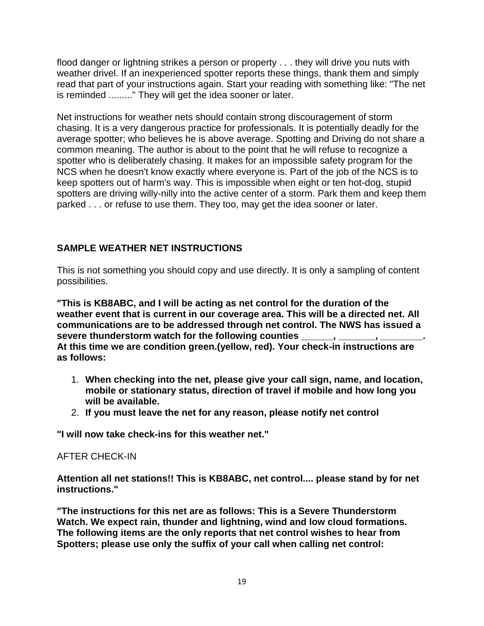flood danger or lightning strikes a person or property . . . they will drive you nuts with weather drivel. If an inexperienced spotter reports these things, thank them and simply read that part of your instructions again. Start your reading with something like: "The net is reminded ........." They will get the idea sooner or later.

Net instructions for weather nets should contain strong discouragement of storm chasing. It is a very dangerous practice for professionals. It is potentially deadly for the average spotter; who believes he is above average. Spotting and Driving do not share a common meaning. The author is about to the point that he will refuse to recognize a spotter who is deliberately chasing. It makes for an impossible safety program for the NCS when he doesn't know exactly where everyone is. Part of the job of the NCS is to keep spotters out of harm's way. This is impossible when eight or ten hot-dog, stupid spotters are driving willy-nilly into the active center of a storm. Park them and keep them parked . . . or refuse to use them. They too, may get the idea sooner or later.

## **SAMPLE WEATHER NET INSTRUCTIONS**

This is not something you should copy and use directly. It is only a sampling of content possibilities.

**"This is KB8ABC, and I will be acting as net control for the duration of the weather event that is current in our coverage area. This will be a directed net. All communications are to be addressed through net control. The NWS has issued a severe thunderstorm watch for the following counties \_\_\_\_\_\_, \_\_\_\_\_\_\_, \_\_\_\_\_\_\_\_. At this time we are condition green.(yellow, red). Your check-in instructions are as follows:**

- 1. **When checking into the net, please give your call sign, name, and location, mobile or stationary status, direction of travel if mobile and how long you will be available.**
- 2. **If you must leave the net for any reason, please notify net control**

**"I will now take check-ins for this weather net."**

## AFTER CHECK-IN

**Attention all net stations!! This is KB8ABC, net control.... please stand by for net instructions."**

**"The instructions for this net are as follows: This is a Severe Thunderstorm Watch. We expect rain, thunder and lightning, wind and low cloud formations. The following items are the only reports that net control wishes to hear from Spotters; please use only the suffix of your call when calling net control:**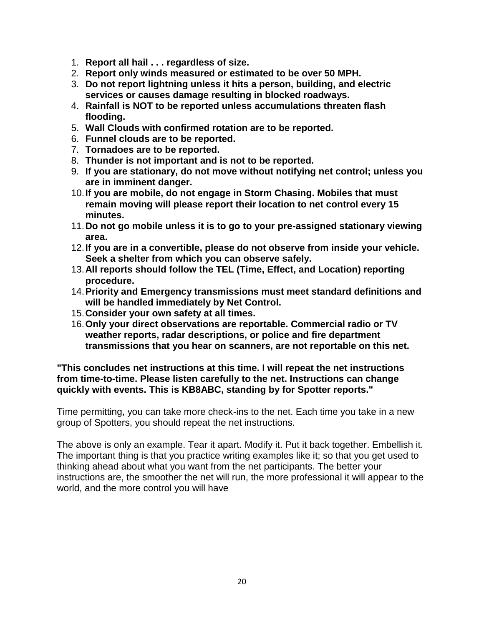- 1. **Report all hail . . . regardless of size.**
- 2. **Report only winds measured or estimated to be over 50 MPH.**
- 3. **Do not report lightning unless it hits a person, building, and electric services or causes damage resulting in blocked roadways.**
- 4. **Rainfall is NOT to be reported unless accumulations threaten flash flooding.**
- 5. **Wall Clouds with confirmed rotation are to be reported.**
- 6. **Funnel clouds are to be reported.**
- 7. **Tornadoes are to be reported.**
- 8. **Thunder is not important and is not to be reported.**
- 9. **If you are stationary, do not move without notifying net control; unless you are in imminent danger.**
- 10.**If you are mobile, do not engage in Storm Chasing. Mobiles that must remain moving will please report their location to net control every 15 minutes.**
- 11.**Do not go mobile unless it is to go to your pre-assigned stationary viewing area.**
- 12.**If you are in a convertible, please do not observe from inside your vehicle. Seek a shelter from which you can observe safely.**
- 13.**All reports should follow the TEL (Time, Effect, and Location) reporting procedure.**
- 14.**Priority and Emergency transmissions must meet standard definitions and will be handled immediately by Net Control.**
- 15.**Consider your own safety at all times.**
- 16.**Only your direct observations are reportable. Commercial radio or TV weather reports, radar descriptions, or police and fire department transmissions that you hear on scanners, are not reportable on this net.**

#### **"This concludes net instructions at this time. I will repeat the net instructions from time-to-time. Please listen carefully to the net. Instructions can change quickly with events. This is KB8ABC, standing by for Spotter reports."**

Time permitting, you can take more check-ins to the net. Each time you take in a new group of Spotters, you should repeat the net instructions.

The above is only an example. Tear it apart. Modify it. Put it back together. Embellish it. The important thing is that you practice writing examples like it; so that you get used to thinking ahead about what you want from the net participants. The better your instructions are, the smoother the net will run, the more professional it will appear to the world, and the more control you will have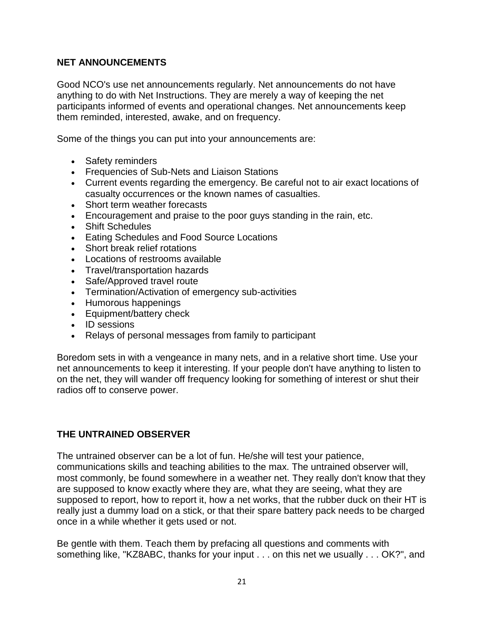## **NET ANNOUNCEMENTS**

Good NCO's use net announcements regularly. Net announcements do not have anything to do with Net Instructions. They are merely a way of keeping the net participants informed of events and operational changes. Net announcements keep them reminded, interested, awake, and on frequency.

Some of the things you can put into your announcements are:

- Safety reminders
- Frequencies of Sub-Nets and Liaison Stations
- Current events regarding the emergency. Be careful not to air exact locations of casualty occurrences or the known names of casualties.
- Short term weather forecasts
- Encouragement and praise to the poor guys standing in the rain, etc.
- Shift Schedules
- Eating Schedules and Food Source Locations
- Short break relief rotations
- Locations of restrooms available
- Travel/transportation hazards
- Safe/Approved travel route
- Termination/Activation of emergency sub-activities
- Humorous happenings
- Equipment/battery check
- ID sessions
- Relays of personal messages from family to participant

Boredom sets in with a vengeance in many nets, and in a relative short time. Use your net announcements to keep it interesting. If your people don't have anything to listen to on the net, they will wander off frequency looking for something of interest or shut their radios off to conserve power.

## **THE UNTRAINED OBSERVER**

The untrained observer can be a lot of fun. He/she will test your patience, communications skills and teaching abilities to the max. The untrained observer will, most commonly, be found somewhere in a weather net. They really don't know that they are supposed to know exactly where they are, what they are seeing, what they are supposed to report, how to report it, how a net works, that the rubber duck on their HT is really just a dummy load on a stick, or that their spare battery pack needs to be charged once in a while whether it gets used or not.

Be gentle with them. Teach them by prefacing all questions and comments with something like, "KZ8ABC, thanks for your input . . . on this net we usually . . . OK?", and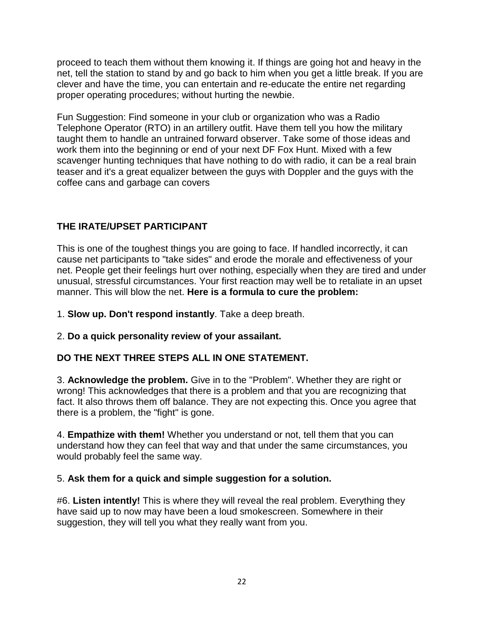proceed to teach them without them knowing it. If things are going hot and heavy in the net, tell the station to stand by and go back to him when you get a little break. If you are clever and have the time, you can entertain and re-educate the entire net regarding proper operating procedures; without hurting the newbie.

Fun Suggestion: Find someone in your club or organization who was a Radio Telephone Operator (RTO) in an artillery outfit. Have them tell you how the military taught them to handle an untrained forward observer. Take some of those ideas and work them into the beginning or end of your next DF Fox Hunt. Mixed with a few scavenger hunting techniques that have nothing to do with radio, it can be a real brain teaser and it's a great equalizer between the guys with Doppler and the guys with the coffee cans and garbage can covers

# **THE IRATE/UPSET PARTICIPANT**

This is one of the toughest things you are going to face. If handled incorrectly, it can cause net participants to "take sides" and erode the morale and effectiveness of your net. People get their feelings hurt over nothing, especially when they are tired and under unusual, stressful circumstances. Your first reaction may well be to retaliate in an upset manner. This will blow the net. **Here is a formula to cure the problem:**

1. **Slow up. Don't respond instantly**. Take a deep breath.

## 2. **Do a quick personality review of your assailant.**

# **DO THE NEXT THREE STEPS ALL IN ONE STATEMENT.**

3. **Acknowledge the problem.** Give in to the "Problem". Whether they are right or wrong! This acknowledges that there is a problem and that you are recognizing that fact. It also throws them off balance. They are not expecting this. Once you agree that there is a problem, the "fight" is gone.

4. **Empathize with them!** Whether you understand or not, tell them that you can understand how they can feel that way and that under the same circumstances, you would probably feel the same way.

## 5. **Ask them for a quick and simple suggestion for a solution.**

#6. **Listen intently!** This is where they will reveal the real problem. Everything they have said up to now may have been a loud smokescreen. Somewhere in their suggestion, they will tell you what they really want from you.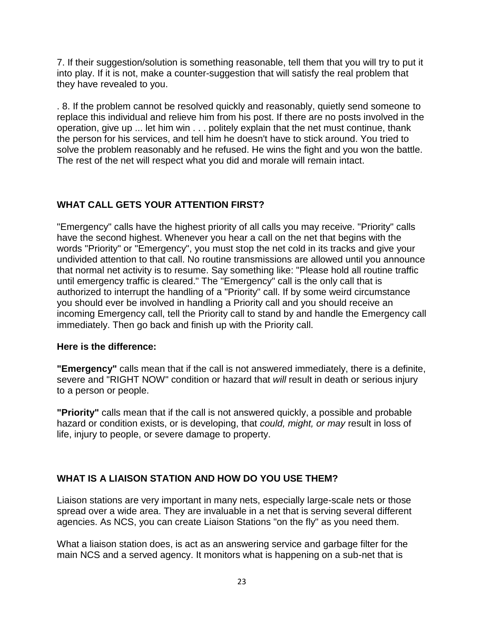7. If their suggestion/solution is something reasonable, tell them that you will try to put it into play. If it is not, make a counter-suggestion that will satisfy the real problem that they have revealed to you.

. 8. If the problem cannot be resolved quickly and reasonably, quietly send someone to replace this individual and relieve him from his post. If there are no posts involved in the operation, give up ... let him win . . . politely explain that the net must continue, thank the person for his services, and tell him he doesn't have to stick around. You tried to solve the problem reasonably and he refused. He wins the fight and you won the battle. The rest of the net will respect what you did and morale will remain intact.

## **WHAT CALL GETS YOUR ATTENTION FIRST?**

"Emergency" calls have the highest priority of all calls you may receive. "Priority" calls have the second highest. Whenever you hear a call on the net that begins with the words "Priority" or "Emergency", you must stop the net cold in its tracks and give your undivided attention to that call. No routine transmissions are allowed until you announce that normal net activity is to resume. Say something like: "Please hold all routine traffic until emergency traffic is cleared." The "Emergency" call is the only call that is authorized to interrupt the handling of a "Priority" call. If by some weird circumstance you should ever be involved in handling a Priority call and you should receive an incoming Emergency call, tell the Priority call to stand by and handle the Emergency call immediately. Then go back and finish up with the Priority call.

#### **Here is the difference:**

**"Emergency"** calls mean that if the call is not answered immediately, there is a definite, severe and "RIGHT NOW" condition or hazard that *will* result in death or serious injury to a person or people.

**"Priority"** calls mean that if the call is not answered quickly, a possible and probable hazard or condition exists, or is developing, that *could, might, or may* result in loss of life, injury to people, or severe damage to property.

# **WHAT IS A LIAISON STATION AND HOW DO YOU USE THEM?**

Liaison stations are very important in many nets, especially large-scale nets or those spread over a wide area. They are invaluable in a net that is serving several different agencies. As NCS, you can create Liaison Stations "on the fly" as you need them.

What a liaison station does, is act as an answering service and garbage filter for the main NCS and a served agency. It monitors what is happening on a sub-net that is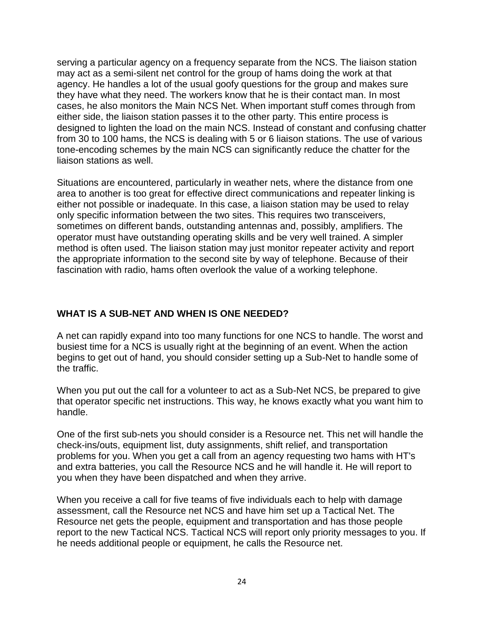serving a particular agency on a frequency separate from the NCS. The liaison station may act as a semi-silent net control for the group of hams doing the work at that agency. He handles a lot of the usual goofy questions for the group and makes sure they have what they need. The workers know that he is their contact man. In most cases, he also monitors the Main NCS Net. When important stuff comes through from either side, the liaison station passes it to the other party. This entire process is designed to lighten the load on the main NCS. Instead of constant and confusing chatter from 30 to 100 hams, the NCS is dealing with 5 or 6 liaison stations. The use of various tone-encoding schemes by the main NCS can significantly reduce the chatter for the liaison stations as well.

Situations are encountered, particularly in weather nets, where the distance from one area to another is too great for effective direct communications and repeater linking is either not possible or inadequate. In this case, a liaison station may be used to relay only specific information between the two sites. This requires two transceivers, sometimes on different bands, outstanding antennas and, possibly, amplifiers. The operator must have outstanding operating skills and be very well trained. A simpler method is often used. The liaison station may just monitor repeater activity and report the appropriate information to the second site by way of telephone. Because of their fascination with radio, hams often overlook the value of a working telephone.

## **WHAT IS A SUB-NET AND WHEN IS ONE NEEDED?**

A net can rapidly expand into too many functions for one NCS to handle. The worst and busiest time for a NCS is usually right at the beginning of an event. When the action begins to get out of hand, you should consider setting up a Sub-Net to handle some of the traffic.

When you put out the call for a volunteer to act as a Sub-Net NCS, be prepared to give that operator specific net instructions. This way, he knows exactly what you want him to handle.

One of the first sub-nets you should consider is a Resource net. This net will handle the check-ins/outs, equipment list, duty assignments, shift relief, and transportation problems for you. When you get a call from an agency requesting two hams with HT's and extra batteries, you call the Resource NCS and he will handle it. He will report to you when they have been dispatched and when they arrive.

When you receive a call for five teams of five individuals each to help with damage assessment, call the Resource net NCS and have him set up a Tactical Net. The Resource net gets the people, equipment and transportation and has those people report to the new Tactical NCS. Tactical NCS will report only priority messages to you. If he needs additional people or equipment, he calls the Resource net.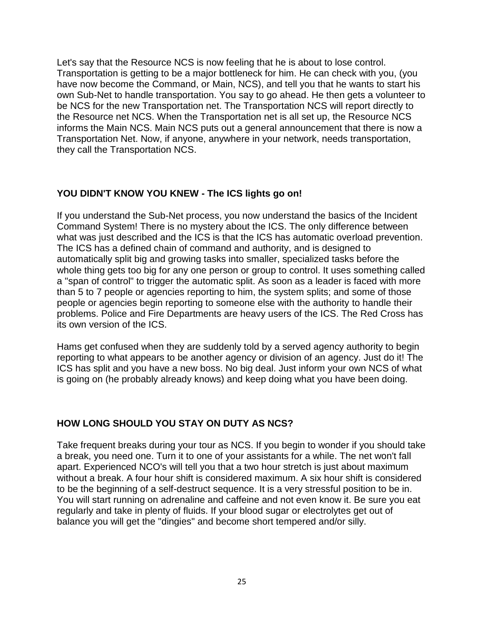Let's say that the Resource NCS is now feeling that he is about to lose control. Transportation is getting to be a major bottleneck for him. He can check with you, (you have now become the Command, or Main, NCS), and tell you that he wants to start his own Sub-Net to handle transportation. You say to go ahead. He then gets a volunteer to be NCS for the new Transportation net. The Transportation NCS will report directly to the Resource net NCS. When the Transportation net is all set up, the Resource NCS informs the Main NCS. Main NCS puts out a general announcement that there is now a Transportation Net. Now, if anyone, anywhere in your network, needs transportation, they call the Transportation NCS.

## **YOU DIDN'T KNOW YOU KNEW - The ICS lights go on!**

If you understand the Sub-Net process, you now understand the basics of the Incident Command System! There is no mystery about the ICS. The only difference between what was just described and the ICS is that the ICS has automatic overload prevention. The ICS has a defined chain of command and authority, and is designed to automatically split big and growing tasks into smaller, specialized tasks before the whole thing gets too big for any one person or group to control. It uses something called a "span of control" to trigger the automatic split. As soon as a leader is faced with more than 5 to 7 people or agencies reporting to him, the system splits; and some of those people or agencies begin reporting to someone else with the authority to handle their problems. Police and Fire Departments are heavy users of the ICS. The Red Cross has its own version of the ICS.

Hams get confused when they are suddenly told by a served agency authority to begin reporting to what appears to be another agency or division of an agency. Just do it! The ICS has split and you have a new boss. No big deal. Just inform your own NCS of what is going on (he probably already knows) and keep doing what you have been doing.

#### **HOW LONG SHOULD YOU STAY ON DUTY AS NCS?**

Take frequent breaks during your tour as NCS. If you begin to wonder if you should take a break, you need one. Turn it to one of your assistants for a while. The net won't fall apart. Experienced NCO's will tell you that a two hour stretch is just about maximum without a break. A four hour shift is considered maximum. A six hour shift is considered to be the beginning of a self-destruct sequence. It is a very stressful position to be in. You will start running on adrenaline and caffeine and not even know it. Be sure you eat regularly and take in plenty of fluids. If your blood sugar or electrolytes get out of balance you will get the "dingies" and become short tempered and/or silly.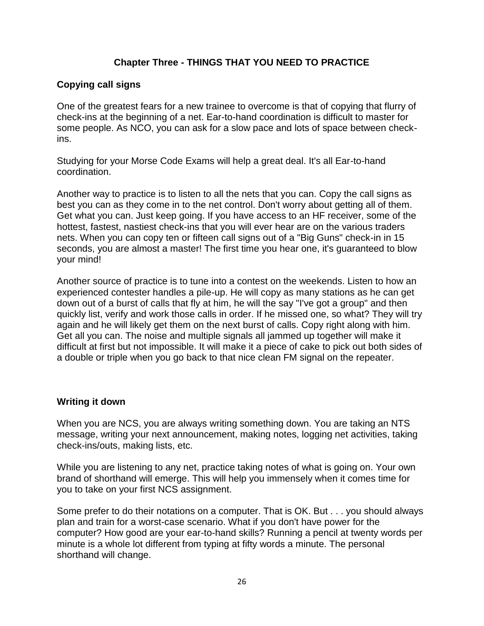## **Chapter Three - THINGS THAT YOU NEED TO PRACTICE**

## **Copying call signs**

One of the greatest fears for a new trainee to overcome is that of copying that flurry of check-ins at the beginning of a net. Ear-to-hand coordination is difficult to master for some people. As NCO, you can ask for a slow pace and lots of space between checkins.

Studying for your Morse Code Exams will help a great deal. It's all Ear-to-hand coordination.

Another way to practice is to listen to all the nets that you can. Copy the call signs as best you can as they come in to the net control. Don't worry about getting all of them. Get what you can. Just keep going. If you have access to an HF receiver, some of the hottest, fastest, nastiest check-ins that you will ever hear are on the various traders nets. When you can copy ten or fifteen call signs out of a "Big Guns" check-in in 15 seconds, you are almost a master! The first time you hear one, it's guaranteed to blow your mind!

Another source of practice is to tune into a contest on the weekends. Listen to how an experienced contester handles a pile-up. He will copy as many stations as he can get down out of a burst of calls that fly at him, he will the say "I've got a group" and then quickly list, verify and work those calls in order. If he missed one, so what? They will try again and he will likely get them on the next burst of calls. Copy right along with him. Get all you can. The noise and multiple signals all jammed up together will make it difficult at first but not impossible. It will make it a piece of cake to pick out both sides of a double or triple when you go back to that nice clean FM signal on the repeater.

## **Writing it down**

When you are NCS, you are always writing something down. You are taking an NTS message, writing your next announcement, making notes, logging net activities, taking check-ins/outs, making lists, etc.

While you are listening to any net, practice taking notes of what is going on. Your own brand of shorthand will emerge. This will help you immensely when it comes time for you to take on your first NCS assignment.

Some prefer to do their notations on a computer. That is OK. But . . . you should always plan and train for a worst-case scenario. What if you don't have power for the computer? How good are your ear-to-hand skills? Running a pencil at twenty words per minute is a whole lot different from typing at fifty words a minute. The personal shorthand will change.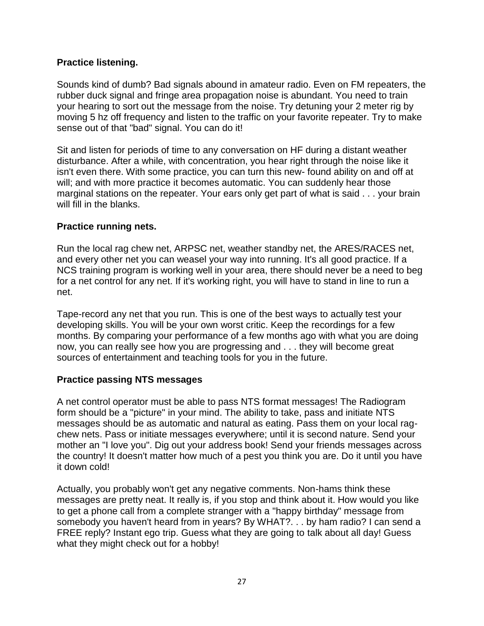#### **Practice listening.**

Sounds kind of dumb? Bad signals abound in amateur radio. Even on FM repeaters, the rubber duck signal and fringe area propagation noise is abundant. You need to train your hearing to sort out the message from the noise. Try detuning your 2 meter rig by moving 5 hz off frequency and listen to the traffic on your favorite repeater. Try to make sense out of that "bad" signal. You can do it!

Sit and listen for periods of time to any conversation on HF during a distant weather disturbance. After a while, with concentration, you hear right through the noise like it isn't even there. With some practice, you can turn this new- found ability on and off at will; and with more practice it becomes automatic. You can suddenly hear those marginal stations on the repeater. Your ears only get part of what is said . . . your brain will fill in the blanks.

### **Practice running nets.**

Run the local rag chew net, ARPSC net, weather standby net, the ARES/RACES net, and every other net you can weasel your way into running. It's all good practice. If a NCS training program is working well in your area, there should never be a need to beg for a net control for any net. If it's working right, you will have to stand in line to run a net.

Tape-record any net that you run. This is one of the best ways to actually test your developing skills. You will be your own worst critic. Keep the recordings for a few months. By comparing your performance of a few months ago with what you are doing now, you can really see how you are progressing and . . . they will become great sources of entertainment and teaching tools for you in the future.

#### **Practice passing NTS messages**

A net control operator must be able to pass NTS format messages! The Radiogram form should be a "picture" in your mind. The ability to take, pass and initiate NTS messages should be as automatic and natural as eating. Pass them on your local ragchew nets. Pass or initiate messages everywhere; until it is second nature. Send your mother an "I love you". Dig out your address book! Send your friends messages across the country! It doesn't matter how much of a pest you think you are. Do it until you have it down cold!

Actually, you probably won't get any negative comments. Non-hams think these messages are pretty neat. It really is, if you stop and think about it. How would you like to get a phone call from a complete stranger with a "happy birthday" message from somebody you haven't heard from in years? By WHAT?. . . by ham radio? I can send a FREE reply? Instant ego trip. Guess what they are going to talk about all day! Guess what they might check out for a hobby!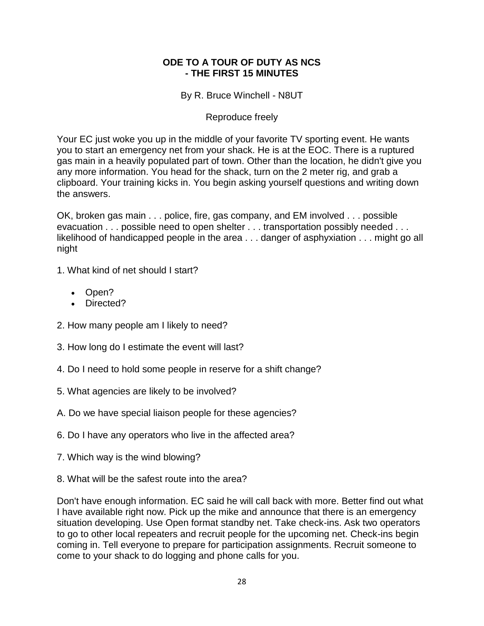#### **ODE TO A TOUR OF DUTY AS NCS - THE FIRST 15 MINUTES**

By R. Bruce Winchell - N8UT

#### Reproduce freely

Your EC just woke you up in the middle of your favorite TV sporting event. He wants you to start an emergency net from your shack. He is at the EOC. There is a ruptured gas main in a heavily populated part of town. Other than the location, he didn't give you any more information. You head for the shack, turn on the 2 meter rig, and grab a clipboard. Your training kicks in. You begin asking yourself questions and writing down the answers.

OK, broken gas main . . . police, fire, gas company, and EM involved . . . possible evacuation . . . possible need to open shelter . . . transportation possibly needed . . . likelihood of handicapped people in the area . . . danger of asphyxiation . . . might go all night

- 1. What kind of net should I start?
	- Open?
	- Directed?
- 2. How many people am I likely to need?
- 3. How long do I estimate the event will last?
- 4. Do I need to hold some people in reserve for a shift change?
- 5. What agencies are likely to be involved?
- A. Do we have special liaison people for these agencies?
- 6. Do I have any operators who live in the affected area?
- 7. Which way is the wind blowing?
- 8. What will be the safest route into the area?

Don't have enough information. EC said he will call back with more. Better find out what I have available right now. Pick up the mike and announce that there is an emergency situation developing. Use Open format standby net. Take check-ins. Ask two operators to go to other local repeaters and recruit people for the upcoming net. Check-ins begin coming in. Tell everyone to prepare for participation assignments. Recruit someone to come to your shack to do logging and phone calls for you.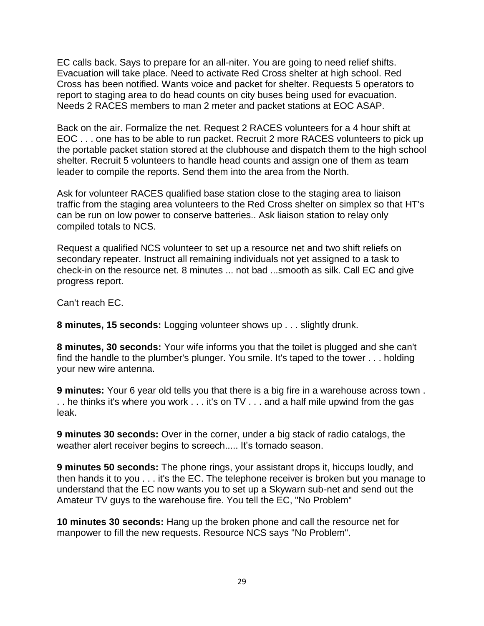EC calls back. Says to prepare for an all-niter. You are going to need relief shifts. Evacuation will take place. Need to activate Red Cross shelter at high school. Red Cross has been notified. Wants voice and packet for shelter. Requests 5 operators to report to staging area to do head counts on city buses being used for evacuation. Needs 2 RACES members to man 2 meter and packet stations at EOC ASAP.

Back on the air. Formalize the net. Request 2 RACES volunteers for a 4 hour shift at EOC . . . one has to be able to run packet. Recruit 2 more RACES volunteers to pick up the portable packet station stored at the clubhouse and dispatch them to the high school shelter. Recruit 5 volunteers to handle head counts and assign one of them as team leader to compile the reports. Send them into the area from the North.

Ask for volunteer RACES qualified base station close to the staging area to liaison traffic from the staging area volunteers to the Red Cross shelter on simplex so that HT's can be run on low power to conserve batteries.. Ask liaison station to relay only compiled totals to NCS.

Request a qualified NCS volunteer to set up a resource net and two shift reliefs on secondary repeater. Instruct all remaining individuals not yet assigned to a task to check-in on the resource net. 8 minutes ... not bad ...smooth as silk. Call EC and give progress report.

Can't reach EC.

**8 minutes, 15 seconds:** Logging volunteer shows up . . . slightly drunk.

**8 minutes, 30 seconds:** Your wife informs you that the toilet is plugged and she can't find the handle to the plumber's plunger. You smile. It's taped to the tower . . . holding your new wire antenna.

**9 minutes:** Your 6 year old tells you that there is a big fire in a warehouse across town . . . he thinks it's where you work . . . it's on TV . . . and a half mile upwind from the gas leak.

**9 minutes 30 seconds:** Over in the corner, under a big stack of radio catalogs, the weather alert receiver begins to screech..... It's tornado season.

**9 minutes 50 seconds:** The phone rings, your assistant drops it, hiccups loudly, and then hands it to you . . . it's the EC. The telephone receiver is broken but you manage to understand that the EC now wants you to set up a Skywarn sub-net and send out the Amateur TV guys to the warehouse fire. You tell the EC, "No Problem"

**10 minutes 30 seconds:** Hang up the broken phone and call the resource net for manpower to fill the new requests. Resource NCS says "No Problem".